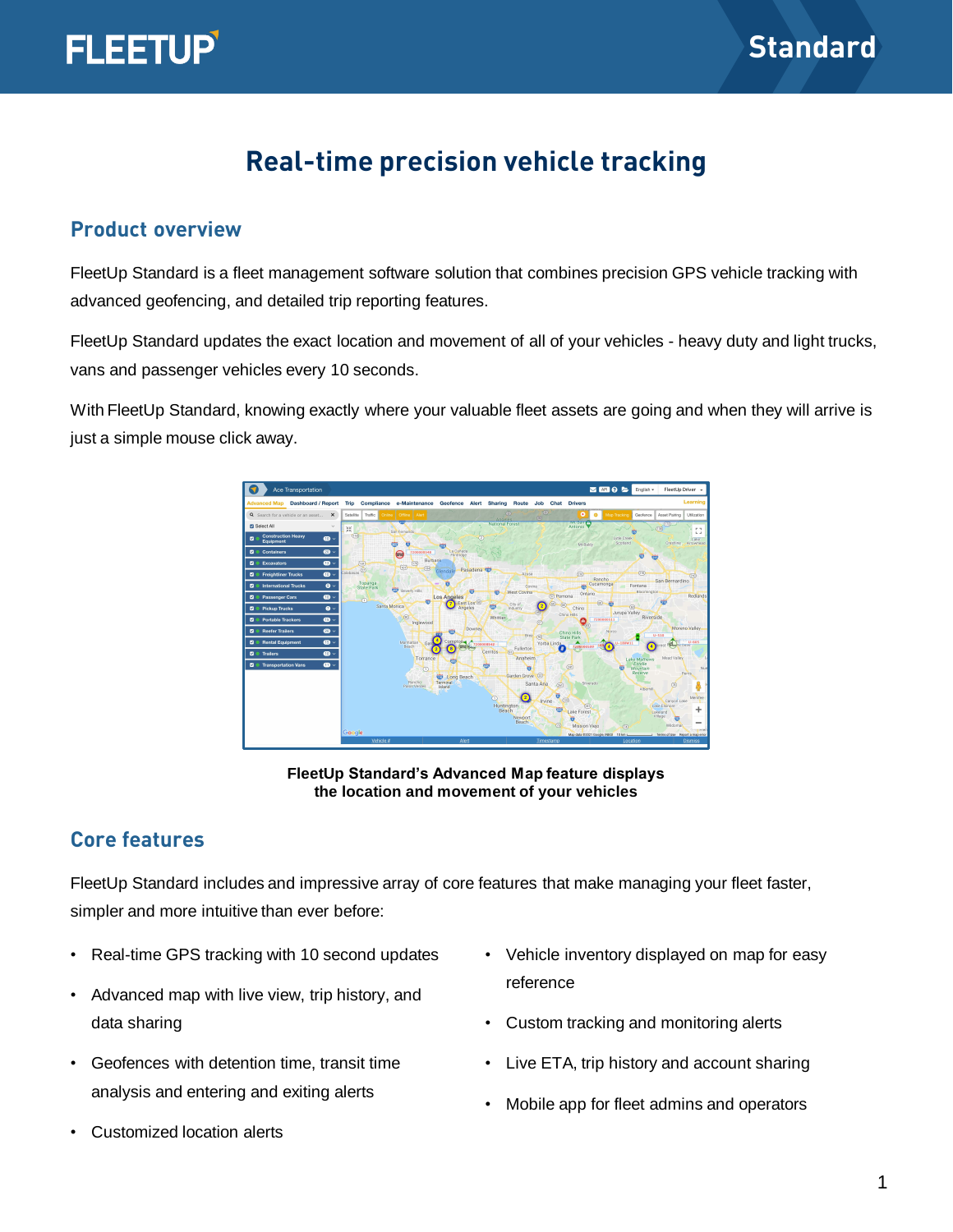

# **FLEETUP**

## **Real-time precision vehicle tracking**

#### **Product overview**

FleetUp Standard is a fleet management software solution that combines precision GPS vehicle tracking with advanced geofencing, and detailed trip reporting features.

FleetUp Standard updates the exact location and movement of all of your vehicles - heavy duty and light trucks, vans and passenger vehicles every 10 seconds.

With FleetUp Standard, knowing exactly where your valuable fleet assets are going and when they will arrive is just a simple mouse click away.



**FleetUp Standard's Advanced Map feature displays the location and movement of your vehicles**

#### **Core features**

FleetUp Standard includes and impressive array of core features that make managing your fleet faster, simpler and more intuitive than ever before:

- Real-time GPS tracking with 10 second updates
- Advanced map with live view, trip history, and data sharing
- Geofences with detention time, transit time analysis and entering and exiting alerts
- Customized location alerts
- Vehicle inventory displayed on map for easy reference
- Custom tracking and monitoring alerts
- Live ETA, trip history and account sharing
- Mobile app for fleet admins and operators